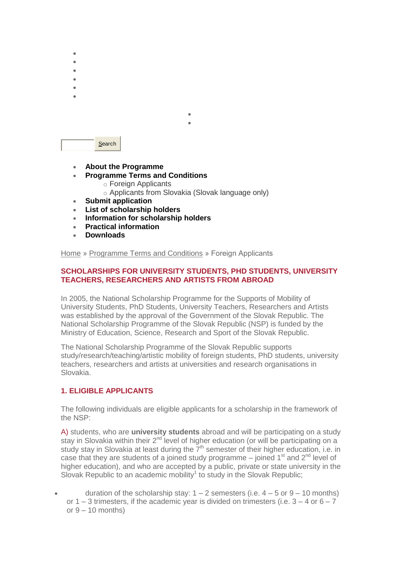

- **[About the Programme](http://www.scholarships.sk/en/main/o-programe)**
- **[Programme Terms and Conditions](http://www.scholarships.sk/en/main/programme-terms-and-conditions/)**
	- o [Foreign Applicants](http://www.scholarships.sk/en/main/programme-terms-and-conditions/foreign-applicants)
		- o [Applicants from Slovakia \(Slovak language only\)](http://www.stipendia.sk/sk/main/podmienky-pre-predkladanie-ziadosti/uchadzaci-zo-sr/)

 $\bullet$  [Contacts](http://www.scholarships.sk/en/pages/contacts) in the set [SAIA, n. o.](http://www.saia.sk/)

- **[Submit application](http://www.scholarships.sk/en/main/submit-application)**
- **[List of scholarship holders](http://www.scholarships.sk/en/main/list-of-scholarship-holders/)**
- **[Information for scholarship holders](http://www.scholarships.sk/en/main/information-for-scholarship-holders/)**
- **[Practical information](http://www.scholarships.sk/en/main/practical-information/)**
- **[Downloads](http://www.scholarships.sk/en/main/downloads/)**

[Home](http://www.scholarships.sk/en/) » [Programme Terms and Conditions](http://www.scholarships.sk/en/main/programme-terms-and-conditions/) » Foreign Applicants

## **SCHOLARSHIPS FOR UNIVERSITY STUDENTS, PHD STUDENTS, UNIVERSITY TEACHERS, RESEARCHERS AND ARTISTS FROM ABROAD**

In 2005, the National Scholarship Programme for the Supports of Mobility of University Students, PhD Students, University Teachers, Researchers and Artists was established by the approval of the Government of the Slovak Republic. The National Scholarship Programme of the Slovak Republic (NSP) is funded by the Ministry of Education, Science, Research and Sport of the Slovak Republic.

The National Scholarship Programme of the Slovak Republic supports study/research/teaching/artistic mobility of foreign students, PhD students, university teachers, researchers and artists at universities and research organisations in Slovakia.

## **1. ELIGIBLE APPLICANTS**

The following individuals are eligible applicants for a scholarship in the framework of the NSP:

A) students, who are **university students** abroad and will be participating on a study stay in Slovakia within their  $2^{nd}$  level of higher education (or will be participating on a study stay in Slovakia at least during the  $7<sup>th</sup>$  semester of their higher education, i.e. in case that they are students of a joined study programme  $-$  joined 1<sup>st</sup> and 2<sup>nd</sup> level of higher education), and who are accepted by a public, private or state university in the Slovak Republic to an academic mobility<sup>1</sup> to study in the Slovak Republic;

duration of the scholarship stay:  $1 - 2$  semesters (i.e.  $4 - 5$  or  $9 - 10$  months) or  $1 - 3$  trimesters, if the academic year is divided on trimesters (i.e.  $3 - 4$  or  $6 - 7$ ) or  $9 - 10$  months)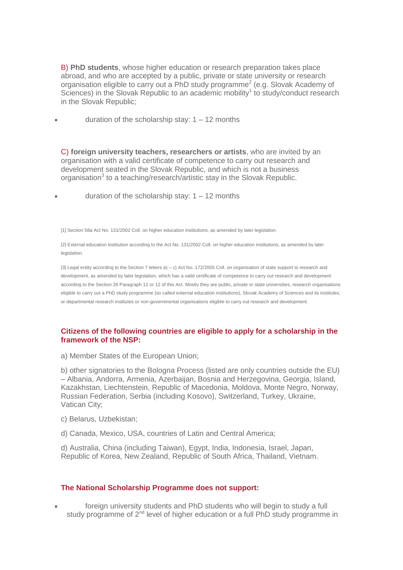B) **PhD students**, whose higher education or research preparation takes place abroad, and who are accepted by a public, private or state university or research organisation eligible to carry out a PhD study programme<sup>2</sup> (e.g. Slovak Academy of Sciences) in the Slovak Republic to an academic mobility<sup>1</sup> to study/conduct research in the Slovak Republic;

duration of the scholarship stay: 1 – 12 months

C) **foreign university teachers, researchers or artists**, who are invited by an organisation with a valid certificate of competence to carry out research and development seated in the Slovak Republic, and which is not a business organisation<sup>3</sup> to a teaching/research/artistic stay in the Slovak Republic.

duration of the scholarship stay:  $1 - 12$  months

[1] Section 58a Act No. 131/2002 Coll. on higher education institutions, as amended by later legislation.

[2] External education institution according to the Act No. 131/2002 Coll. on higher education institutions, as amended by later legislation.

[3] Legal entity according to the Section 7 letters a) – c) Act No. 172/2005 Coll. on organisation of state support to research and development, as amended by later legislation, which has a valid certificate of competence to carry out research and development according to the Section 26 Paragraph 11 or 12 of this Act. Mostly they are public, private or state universities, research organisations eligible to carry out a PhD study programme (so called external education institutions), Slovak Academy of Sciences and its institutes, or departmental research institutes or non-governmental organisations eligible to carry out research and development.

### **Citizens of the following countries are eligible to apply for a scholarship in the framework of the NSP:**

a) Member States of the European Union;

b) other signatories to the Bologna Process (listed are only countries outside the EU) – Albania, Andorra, Armenia, Azerbaijan, Bosnia and Herzegovina, Georgia, Island, Kazakhstan, Liechtenstein, Republic of Macedonia, Moldova, Monte Negro, Norway, Russian Federation, Serbia (including Kosovo), Switzerland, Turkey, Ukraine, Vatican City;

- c) Belarus, Uzbekistan;
- d) Canada, Mexico, USA, countries of Latin and Central America;

d) Australia, China (including Taiwan), Egypt, India, Indonesia, Israel, Japan, Republic of Korea, New Zealand, Republic of South Africa, Thailand, Vietnam.

#### **The National Scholarship Programme does not support:**

 foreign university students and PhD students who will begin to study a full study programme of 2<sup>nd</sup> level of higher education or a full PhD study programme in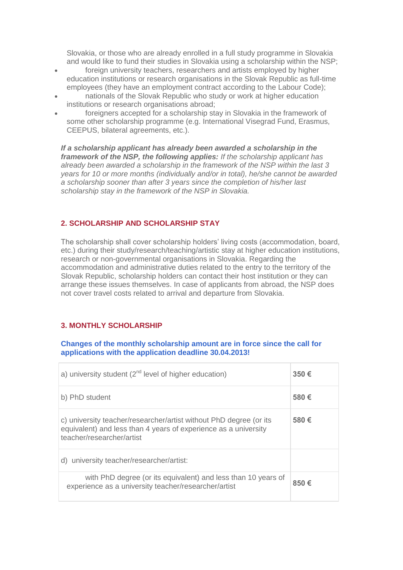Slovakia, or those who are already enrolled in a full study programme in Slovakia and would like to fund their studies in Slovakia using a scholarship within the NSP;

- foreign university teachers, researchers and artists employed by higher education institutions or research organisations in the Slovak Republic as full-time employees (they have an employment contract according to the Labour Code);
- nationals of the Slovak Republic who study or work at higher education institutions or research organisations abroad;
- foreigners accepted for a scholarship stay in Slovakia in the framework of some other scholarship programme (e.g. International Visegrad Fund, Erasmus, CEEPUS, bilateral agreements, etc.).

*If a scholarship applicant has already been awarded a scholarship in the framework of the NSP, the following applies: If the scholarship applicant has already been awarded a scholarship in the framework of the NSP within the last 3 years for 10 or more months (individually and/or in total), he/she cannot be awarded a scholarship sooner than after 3 years since the completion of his/her last scholarship stay in the framework of the NSP in Slovakia.*

# **2. SCHOLARSHIP AND SCHOLARSHIP STAY**

The scholarship shall cover scholarship holders' living costs (accommodation, board, etc.) during their study/research/teaching/artistic stay at higher education institutions, research or non-governmental organisations in Slovakia. Regarding the accommodation and administrative duties related to the entry to the territory of the Slovak Republic, scholarship holders can contact their host institution or they can arrange these issues themselves. In case of applicants from abroad, the NSP does not cover travel costs related to arrival and departure from Slovakia.

# **3. MONTHLY SCHOLARSHIP**

## **Changes of the monthly scholarship amount are in force since the call for applications with the application deadline 30.04.2013!**

|  | a) university student $(2^{nd}$ level of higher education)                                                                                                         | 350€ |
|--|--------------------------------------------------------------------------------------------------------------------------------------------------------------------|------|
|  | b) PhD student                                                                                                                                                     | 580€ |
|  | c) university teacher/researcher/artist without PhD degree (or its<br>equivalent) and less than 4 years of experience as a university<br>teacher/researcher/artist | 580€ |
|  | d) university teacher/researcher/artist:                                                                                                                           |      |
|  | with PhD degree (or its equivalent) and less than 10 years of<br>experience as a university teacher/researcher/artist                                              | 850€ |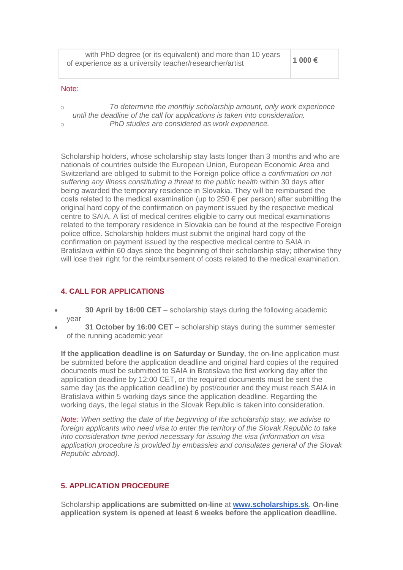| with PhD degree (or its equivalent) and more than 10 years | 1 000 € |
|------------------------------------------------------------|---------|
| of experience as a university teacher/researcher/artist    |         |

#### Note:

o *To determine the monthly scholarship amount, only work experience until the deadline of the call for applications is taken into consideration.* o *PhD studies are considered as work experience.*

Scholarship holders, whose scholarship stay lasts longer than 3 months and who are nationals of countries outside the European Union, European Economic Area and Switzerland are obliged to submit to the Foreign police office a *confirmation on not suffering any illness constituting a threat to the public health* within 30 days after being awarded the temporary residence in Slovakia. They will be reimbursed the costs related to the medical examination (up to  $250 \text{ } \infty$  per person) after submitting the original hard copy of the confirmation on payment issued by the respective medical centre to SAIA. A list of medical centres eligible to carry out medical examinations related to the temporary residence in Slovakia can be found at the respective Foreign police office. Scholarship holders must submit the original hard copy of the confirmation on payment issued by the respective medical centre to SAIA in Bratislava within 60 days since the beginning of their scholarship stay; otherwise they will lose their right for the reimbursement of costs related to the medical examination.

### **4. CALL FOR APPLICATIONS**

- **30 April by 16:00 CET** scholarship stays during the following academic year
- **31 October by 16:00 CET** scholarship stays during the summer semester of the running academic year

**If the application deadline is on Saturday or Sunday**, the on-line application must be submitted before the application deadline and original hard copies of the required documents must be submitted to SAIA in Bratislava the first working day after the application deadline by 12:00 CET, or the required documents must be sent the same day (as the application deadline) by post/courier and they must reach SAIA in Bratislava within 5 working days since the application deadline. Regarding the working days, the legal status in the Slovak Republic is taken into consideration.

*Note: When setting the date of the beginning of the scholarship stay, we advise to foreign applicants who need visa to enter the territory of the Slovak Republic to take into consideration time period necessary for issuing the visa (information on visa application procedure is provided by embassies and consulates general of the Slovak Republic abroad)*.

## **5. APPLICATION PROCEDURE**

Scholarship **applications are submitted on-line** at **[www.scholarships.sk](http://www.scholarships.sk/)**. **On-line application system is opened at least 6 weeks before the application deadline.**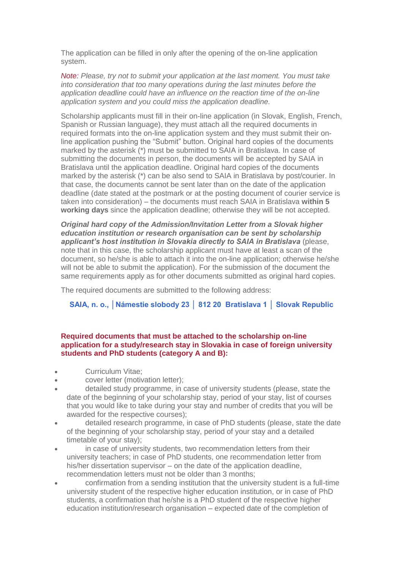The application can be filled in only after the opening of the on-line application system.

*Note: Please, try not to submit your application at the last moment. You must take into consideration that too many operations during the last minutes before the application deadline could have an influence on the reaction time of the on-line application system and you could miss the application deadline.*

Scholarship applicants must fill in their on-line application (in Slovak, English, French, Spanish or Russian language), they must attach all the required documents in required formats into the on-line application system and they must submit their online application pushing the "Submit" button. Original hard copies of the documents marked by the asterisk (\*) must be submitted to SAIA in Bratislava. In case of submitting the documents in person, the documents will be accepted by SAIA in Bratislava until the application deadline. Original hard copies of the documents marked by the asterisk (\*) can be also send to SAIA in Bratislava by post/courier. In that case, the documents cannot be sent later than on the date of the application deadline (date stated at the postmark or at the posting document of courier service is taken into consideration) – the documents must reach SAIA in Bratislava **within 5 working days** since the application deadline; otherwise they will be not accepted.

*Original hard copy of the Admission/Invitation Letter from a Slovak higher education institution or research organisation can be sent by scholarship applicant's host institution in Slovakia directly to SAIA in Bratislava* (please, note that in this case, the scholarship applicant must have at least a scan of the document, so he/she is able to attach it into the on-line application; otherwise he/she will not be able to submit the application). For the submission of the document the same requirements apply as for other documents submitted as original hard copies.

The required documents are submitted to the following address:

# **SAIA, n. o., │Námestie slobody 23 │ 812 20 Bratislava 1 │ Slovak Republic**

#### **Required documents that must be attached to the scholarship on-line application for a study/research stay in Slovakia in case of foreign university students and PhD students (category A and B):**

- Curriculum Vitae;
- cover letter (motivation letter);
- detailed study programme, in case of university students (please, state the date of the beginning of your scholarship stay, period of your stay, list of courses that you would like to take during your stay and number of credits that you will be awarded for the respective courses);
- detailed research programme, in case of PhD students (please, state the date of the beginning of your scholarship stay, period of your stay and a detailed timetable of your stay);
- in case of university students, two recommendation letters from their university teachers; in case of PhD students, one recommendation letter from his/her dissertation supervisor – on the date of the application deadline, recommendation letters must not be older than 3 months;
- confirmation from a sending institution that the university student is a full-time university student of the respective higher education institution, or in case of PhD students, a confirmation that he/she is a PhD student of the respective higher education institution/research organisation – expected date of the completion of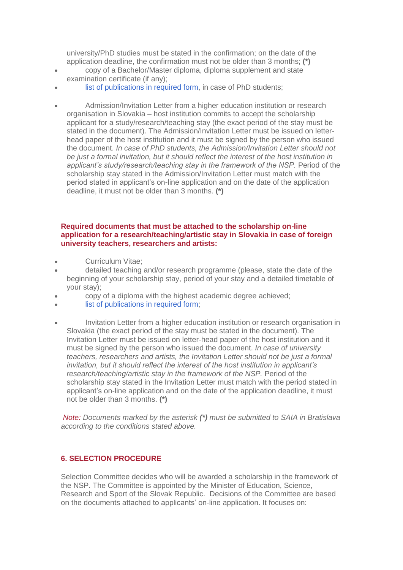university/PhD studies must be stated in the confirmation; on the date of the application deadline, the confirmation must not be older than 3 months; **(\*)**

- copy of a Bachelor/Master diploma, diploma supplement and state examination certificate (if any);
- [list of publications in required form,](http://www.scholarships.sk/_user/documents/NSP/dokumenty%20na%20stiahnutie/List%20of%20publications.docx) in case of PhD students;
- Admission/Invitation Letter from a higher education institution or research organisation in Slovakia – host institution commits to accept the scholarship applicant for a study/research/teaching stay (the exact period of the stay must be stated in the document). The Admission/Invitation Letter must be issued on letterhead paper of the host institution and it must be signed by the person who issued the document. *In case of PhD students, the Admission/Invitation Letter should not be just a formal invitation, but it should reflect the interest of the host institution in applicant's study/research/teaching stay in the framework of the NSP.* Period of the scholarship stay stated in the Admission/Invitation Letter must match with the period stated in applicant's on-line application and on the date of the application deadline, it must not be older than 3 months. **(\*)**

### **Required documents that must be attached to the scholarship on-line application for a research/teaching/artistic stay in Slovakia in case of foreign university teachers, researchers and artists:**

- Curriculum Vitae;
- detailed teaching and/or research programme (please, state the date of the beginning of your scholarship stay, period of your stay and a detailed timetable of your stay);
- copy of a diploma with the highest academic degree achieved;
- [list of publications in required form;](http://www.scholarships.sk/_user/documents/NSP/dokumenty%20na%20stiahnutie/List%20of%20publications.docx)
- Invitation Letter from a higher education institution or research organisation in Slovakia (the exact period of the stay must be stated in the document). The Invitation Letter must be issued on letter-head paper of the host institution and it must be signed by the person who issued the document. *In case of university teachers, researchers and artists, the Invitation Letter should not be just a formal invitation, but it should reflect the interest of the host institution in applicant's research/teaching/artistic stay in the framework of the NSP.* Period of the scholarship stay stated in the Invitation Letter must match with the period stated in applicant's on-line application and on the date of the application deadline, it must not be older than 3 months. **(\*)**

*Note: Documents marked by the asterisk (\*) must be submitted to SAIA in Bratislava according to the conditions stated above.*

## **6. SELECTION PROCEDURE**

Selection Committee decides who will be awarded a scholarship in the framework of the NSP. The Committee is appointed by the Minister of Education, Science, Research and Sport of the Slovak Republic. Decisions of the Committee are based on the documents attached to applicants' on-line application. It focuses on: